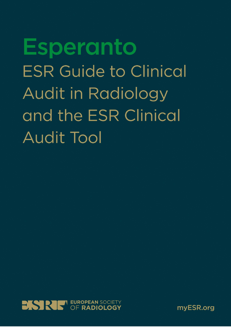**Esperanto ESR Guide to Clinical Audit in Radiology** and the ESR Clinical **Audit Tool** 



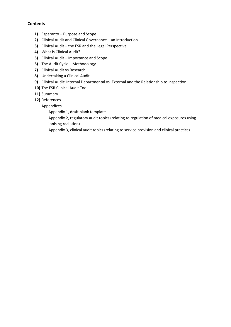## **Contents**

- **1)** Esperanto Purpose and Scope
- **2)** Clinical Audit and Clinical Governance an Introduction
- **3)** Clinical Audit the ESR and the Legal Perspective
- **4)** What is Clinical Audit?
- **5)** Clinical Audit Importance and Scope
- **6)** The Audit Cycle Methodology
- **7)** Clinical Audit vs Research
- **8)** Undertaking a Clinical Audit
- **9)** Clinical Audit: Internal Departmental vs. External and the Relationship to Inspection
- **10)** The ESR Clinical Audit Tool
- **11)** Summary
- **12)** References

Appendices

- Appendix 1, draft blank template
- Appendix 2, regulatory audit topics (relating to regulation of medical exposures using ionising radiation)
- Appendix 3, clinical audit topics (relating to service provision and clinical practice)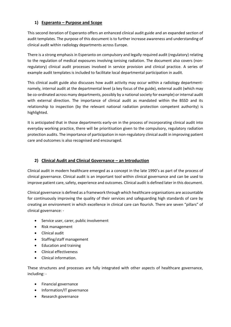# **1) Esperanto – Purpose and Scope**

This second iteration of Esperanto offers an enhanced clinical audit guide and an expanded section of audit templates. The purpose of this document is to further increase awareness and understanding of clinical audit within radiology departments across Europe.

There is a strong emphasis in Esperanto on compulsory and legally required audit (regulatory) relating to the regulation of medical exposures involving ionising radiation. The document also covers (nonregulatory) clinical audit processes involved in service provision and clinical practice. A series of example audit templates is included to facilitate local departmental participation in audit.

This clinical audit guide also discusses how audit activity may occur within a radiology departmentnamely, internal audit at the departmental level (a key focus of the guide), external audit (which may be co-ordinated across many departments, possibly by a national society for example) or internal audit with external direction. The importance of clinical audit as mandated within the BSSD and its relationship to inspection (by the relevant national radiation protection competent authority) is highlighted.

It is anticipated that in those departments early-on in the process of incorporating clinical audit into everyday working practice, there will be prioritisation given to the compulsory, regulatory radiation protection audits. The importance of participation in non-regulatory clinical audit in improving patient care and outcomes is also recognised and encouraged.

# **2) Clinical Audit and Clinical Governance – an Introduction**

Clinical audit in modern healthcare emerged as a concept in the late 1990's as part of the process of clinical governance. Clinical audit is an important tool within clinical governance and can be used to improve patient care, safety, experience and outcomes. Clinical audit is defined later in this document.

Clinical governance is defined as a framework through which healthcare organisations are accountable for continuously improving the quality of their services and safeguarding high standards of care by creating an environment in which excellence in clinical care can flourish. There are seven "pillars" of clinical governance: -

- Service user, carer, public involvement
- Risk management
- Clinical audit
- Staffing/staff management
- Education and training
- Clinical effectiveness
- Clinical information.

These structures and processes are fully integrated with other aspects of healthcare governance, including: -

- Financial governance
- Information/IT governance
- Research governance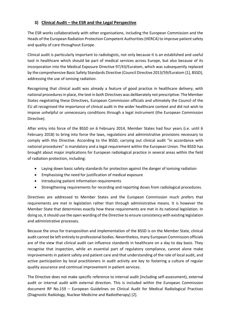# **3) Clinical Audit – the ESR and the Legal Perspective**

The ESR works collaboratively with other organisations, including the European Commission and the Heads of the European Radiation Protection Competent Authorities (HERCA) to improve patient safety and quality of care throughout Europe.

Clinical audit is particularly important to radiologists, not only because it is an established and useful tool in healthcare which should be part of medical services across Europe, but also because of its incorporation into the Medical Exposure Directive 97/43/Euratom, which was subsequently replaced by the comprehensive Basic Safety Standards Directive (Council Directive 2013/59/Euratom [1], BSSD), addressing the use of ionising radiation.

Recognising that clinical audit was already a feature of good practice in healthcare delivery, with national procedures in place, the text in both Directives was deliberately not prescriptive. The Member States negotiating these Directives, European Commission officials and ultimately the Council of the EU all recognised the importance of clinical audit in the wider healthcare context and did not wish to impose unhelpful or unnecessary conditions through a legal instrument (the European Commission Directive).

After entry into force of the BSSD on 6 February 2014, Member States had four years (i.e. until 6 February 2018) to bring into force the laws, regulations and administrative provisions necessary to comply with this Directive. According to the BSSD, carrying out clinical audit "in accordance with national procedures" is mandatory and a legal requirement within the European Union. The BSSD has brought about major implications for European radiological practice in several areas within the field of radiation protection, including:

- Laying down basic safety standards for protection against the danger of ionising radiation
- Emphasising the need for justification of medical exposure
- Introducing patient information requirements
- Strengthening requirements for recording and reporting doses from radiological procedures.

Directives are addressed to Member States and the European Commission much prefers that requirements are met in legislation rather than through administrative means. It is however the Member State that determines exactly how these requirements are met in its national legislation. In doing so, it should use the open wording of the Directive to ensure consistency with existing legislation and administrative processes.

Because the onus for transposition and implementation of the BSSD is on the Member State, clinical audit cannot be left entirely to professional bodies. Nevertheless, many European Commission officials are of the view that clinical audit can influence standards in healthcare on a day to day basis. They recognise that inspection, while an essential part of regulatory compliance, cannot alone make improvements in patient safety and patient care and that understanding of the role of local audit, and active participation by local practitioners in audit activity are key to fostering a culture of regular quality assurance and continual improvement in patient services.

The Directive does not make specific reference to internal audit (including self-assessment), external audit or internal audit with external direction. This is included within the European Commission document RP No.159 – European Guidelines on Clinical Audit for Medical Radiological Practices (Diagnostic Radiology, Nuclear Medicine and Radiotherapy) [2].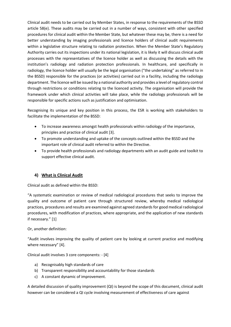Clinical audit needs to be carried out by Member States, in response to the requirements of the BSSD article 58(e). These audits may be carried out in a number of ways, consistent with other specified procedures for clinical audit within the Member State, but whatever these may be, there is a need for better understanding by imaging professionals and licence holders of clinical audit requirements within a legislative structure relating to radiation protection. When the Member State's Regulatory Authority carries out its inspections under its national legislation, it is likely it will discuss clinical audit processes with the representatives of the licence holder as well as discussing the details with the institution's radiology and radiation protection professionals. In healthcare, and specifically in radiology, the licence holder will usually be the legal organisation ("the undertaking" as referred to in the BSSD) responsible for the practices (or activities) carried out in a facility, including the radiology department. The licence will be issued by a national authority and provides a level of regulatory control through restrictions or conditions relating to the licenced activity. The organisation will provide the framework under which clinical activities will take place, while the radiology professionals will be responsible for specific actions such as justification and optimisation.

Recognising its unique and key position in this process, the ESR is working with stakeholders to facilitate the implementation of the BSSD:

- To increase awareness amongst health professionals within radiology of the importance, principles and practice of clinical audit [3].
- To promote understanding and uptake of the concepts outlined within the BSSD and the important role of clinical audit referred to within the Directive.
- To provide health professionals and radiology departments with an audit guide and toolkit to support effective clinical audit.

# **4) What is Clinical Audit**

Clinical audit as defined within the BSSD:

"A systematic examination or review of medical radiological procedures that seeks to improve the quality and outcome of patient care through structured review, whereby medical radiological practices, procedures and results are examined against agreed standards for good medical radiological procedures, with modification of practices, where appropriate, and the application of new standards if necessary." [1]

#### Or, another definition:

"Audit involves improving the quality of patient care by looking at current practice and modifying where necessary" [4].

Clinical audit involves 3 core components: - [4]

- a) Recognisably high standards of care
- b) Transparent responsibility and accountability for those standards
- c) A constant dynamic of improvement.

A detailed discussion of quality improvement (QI) is beyond the scope of this document, clinical audit however can be considered a QI cycle involving measurement of effectiveness of care against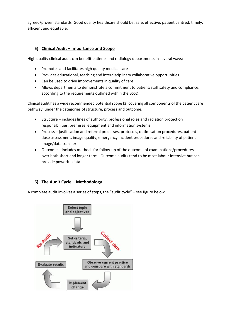agreed/proven standards. Good quality healthcare should be: safe, effective, patient centred, timely, efficient and equitable.

# **5) Clinical Audit – Importance and Scope**

High quality clinical audit can benefit patients and radiology departments in several ways:

- Promotes and facilitates high quality medical care
- Provides educational, teaching and interdisciplinary collaborative opportunities
- Can be used to drive improvements in quality of care
- Allows departments to demonstrate a commitment to patient/staff safety and compliance, according to the requirements outlined within the BSSD.

Clinical audit has a wide recommended potential scope [3] covering all components of the patient care pathway, under the categories of structure, process and outcome.

- Structure includes lines of authority, professional roles and radiation protection responsibilities, premises, equipment and information systems
- Process justification and referral processes, protocols, optimisation procedures, patient dose assessment, image quality, emergency incident procedures and reliability of patient image/data transfer
- Outcome includes methods for follow-up of the outcome of examinations/procedures, over both short and longer term. Outcome audits tend to be most labour intensive but can provide powerful data.

# **6) The Audit Cycle – Methodology**

A complete audit involves a series of steps, the "audit cycle" – see figure below.

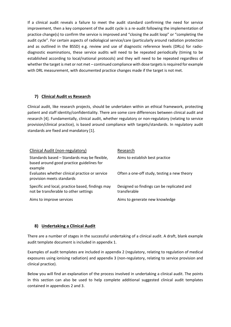If a clinical audit reveals a failure to meet the audit standard confirming the need for service improvement, then a key component of the audit cycle is a re-audit following the implementation of practice change(s) to confirm the service is improved and "closing the audit loop" or "completing the audit cycle". For certain aspects of radiological service/care (particularly around radiation protection and as outlined in the BSSD) e.g. review and use of diagnostic reference levels (DRLs) for radiodiagnostic examinations, these service audits will need to be repeated periodically (timing to be established according to local/national protocols) and they will need to be repeated regardless of whether the target is met or not met – continued compliance with dose targets is required for example with DRL measurement, with documented practice changes made if the target is not met.

# **7) Clinical Audit vs Research**

Clinical audit, like research projects, should be undertaken within an ethical framework, protecting patient and staff identity/confidentiality. There are some core differences between clinical audit and research [4]. Fundamentally, clinical audit, whether regulatory or non-regulatory (relating to service provision/clinical practice), is based around compliance with targets/standards. In regulatory audit standards are fixed and mandatory [1].

| Clinical Audit (non-regulatory)                                                                      | Research                                                   |
|------------------------------------------------------------------------------------------------------|------------------------------------------------------------|
| Standards based - Standards may be flexible,<br>based around good practice guidelines for<br>example | Aims to establish best practice                            |
| Evaluates whether clinical practice or service<br>provision meets standards                          | Often a one-off study, testing a new theory                |
| Specific and local, practice based, findings may<br>not be transferable to other settings            | Designed so findings can be replicated and<br>transferable |
| Aims to improve services                                                                             | Aims to generate new knowledge                             |

# **8) Undertaking a Clinical Audit**

There are a number of stages in the successful undertaking of a clinical audit. A draft, blank example audit template document is included in appendix 1.

Examples of audit templates are included in appendix 2 (regulatory, relating to regulation of medical exposures using ionising radiation) and appendix 3 (non-regulatory, relating to service provision and clinical practice).

Below you will find an explanation of the process involved in undertaking a clinical audit. The points in this section can also be used to help complete additional suggested clinical audit templates contained in appendices 2 and 3.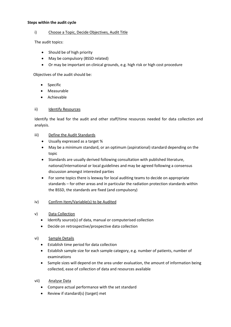#### **Steps within the audit cycle**

#### i) Choose a Topic, Decide Objectives, Audit Title

The audit topics:

- Should be of high priority
- May be compulsory (BSSD related)
- Or may be important on clinical grounds, e.g. high risk or high cost procedure

Objectives of the audit should be:

- **Specific**
- Measurable
- Achievable

#### ii) Identify Resources

Identify the lead for the audit and other staff/time resources needed for data collection and analysis.

#### iii) Define the Audit Standards

- Usually expressed as a target %
- May be a minimum standard, or an optimum (aspirational) standard depending on the topic
- Standards are usually derived following consultation with published literature, national/international or local guidelines and may be agreed following a consensus discussion amongst interested parties
- For some topics there is leeway for local auditing teams to decide on appropriate standards – for other areas and in particular the radiation protection standards within the BSSD, the standards are fixed (and compulsory)

#### iv) Confirm Item/Variable(s) to be Audited

- v) Data Collection
	- Identify source(s) of data, manual or computerised collection
	- Decide on retrospective/prospective data collection
- vi) Sample Details
	- Establish time period for data collection
	- Establish sample size for each sample category, e.g. number of patients, number of examinations
	- Sample sizes will depend on the area under evaluation, the amount of information being collected, ease of collection of data and resources available
- vii) Analyse Data
	- Compare actual performance with the set standard
	- Review if standard(s) (target) met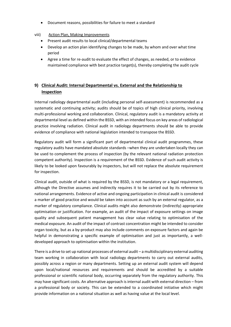• Document reasons, possibilities for failure to meet a standard

#### viii) Action Plan, Making Improvements

- Present audit results to local clinical/departmental teams
- Develop an action plan identifying changes to be made, by whom and over what time period
- Agree a time for re-audit to evaluate the effect of changes, as needed, or to evidence maintained compliance with best practice target(s), thereby completing the audit cycle

# **9) Clinical Audit: Internal Departmental vs. External and the Relationship to Inspection**

Internal radiology departmental audit (including personal self-assessment) is recommended as a systematic and continuing activity; audits should be of topics of high clinical priority, involving multi-professional working and collaboration. Clinical, regulatory audit is a mandatory activity at departmental level as defined within the BSSD, with an intended focus on key areas of radiological practice involving radiation. Clinical audit in radiology departments should be able to provide evidence of compliance with national legislation intended to transpose the BSSD.

Regulatory audit will form a significant part of departmental clinical audit programmes, these regulatory audits have mandated absolute standards –when they are undertaken locally they can be used to complement the process of inspection (by the relevant national radiation protection competent authority). Inspection is a requirement of the BSSD. Evidence of such audit activity is likely to be looked upon favourably by inspectors, but will not replace the absolute requirement for inspection.

Clinical audit, outside of what is required by the BSSD, is not mandatory or a legal requirement, although the Directive assumes and indirectly requires it to be carried out by its reference to national arrangements. Evidence of active and ongoing participation in clinical audit is considered a marker of good practice and would be taken into account as such by an external regulator, as a marker of regulatory compliance. Clinical audits might also demonstrate (indirectly) appropriate optimisation or justification. For example, an audit of the impact of exposure settings on image quality and subsequent patient management has clear value relating to optimisation of the medical exposure. An audit of the impact of contrast concentration might be intended to consider organ toxicity, but as a by-product may also include comments on exposure factors and again be helpful in demonstrating a specific example of optimisation and just as importantly, a welldeveloped approach to optimisation within the institution.

There is a drive to set up national processes of external audit – a multidisciplinary external auditing team working in collaboration with local radiology departments to carry out external audits, possibly across a region or many departments. Setting up an external audit system will depend upon local/national resources and requirements and should be accredited by a suitable professional or scientific national body, occurring separately from the regulatory authority. This may have significant costs. An alternative approach is internal audit with external direction – from a professional body or society. This can be extended to a coordinated initiative which might provide information on a national situation as well as having value at the local level.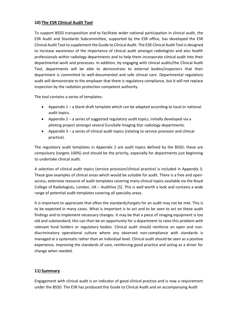# **10) The ESR Clinical Audit Tool**

To support BSSD transposition and to facilitate wider national participation in clinical audit, the ESR Audit and Standards Subcommittee, supported by the ESR office, has developed the ESR Clinical Audit Tool to supplement the Guide to Clinical Audit. The ESR Clinical Audit Tool is designed to increase awareness of the importance of clinical audit amongst radiologists and also health professionals within radiology departments and to help them incorporate clinical audit into their departmental work and processes. In addition, by engaging with clinical audits/the Clinical Audit Tool, departments will be able to demonstrate to external bodies/inspectors that their department is committed to well-documented and safe clinical care. Departmental regulatory audit will demonstrate to the employer that there is regulatory compliance, but it will not replace inspection by the radiation protection competent authority.

The tool contains a series of templates:

- Appendix 1 a blank draft template which can be adapted according to local or national audit topics.
- Appendix 2 a series of suggested regulatory audit topics, initially developed via a piloting project amongst several EuroSafe Imaging Star radiology departments.
- Appendix 3 a series of clinical audit topics (relating to service provision and clinical practice).

The regulatory audit templates in Appendix 2 are audit topics defined by the BSSD; these are compulsory (targets 100%) and should be the priority, especially for departments just beginning to undertake clinical audit.

A selection of clinical audit topics (service provision/clinical practice) is included in Appendix 3. These give examples of clinical areas which would be suitable for audit. There is a free and openaccess, extensive resource of audit templates covering many clinical topics available via the Royal College of Radiologists, London, UK – Auditlive [5]. This is well worth a look and contains a wide range of potential audit templates covering all specialty areas.

It is important to appreciate that often the standards/targets for an audit may not be met. This is to be expected in many cases. What is important is to act and to be seen to act on these audit findings and to implement necessary changes. It may be that a piece of imaging equipment is too old and substandard; this can then be an opportunity for a department to raise this problem with relevant fund holders or regulatory bodies. Clinical audit should reinforce an open and nondiscriminatory operational culture where any observed non-compliance with standards is managed at a systematic rather than an individual level. Clinical audit should be seen as a positive experience, improving the standards of care, reinforcing good practice and acting as a driver for change when needed.

#### **11) Summary**

Engagement with clinical audit is an indicator of good clinical practice and is now a requirement under the BSSD. The ESR has produced this Guide to Clinical Audit and an accompanying Audit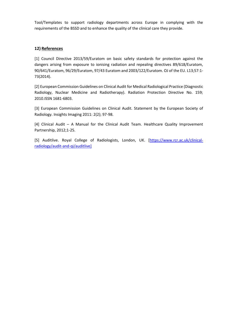Tool/Templates to support radiology departments across Europe in complying with the requirements of the BSSD and to enhance the quality of the clinical care they provide.

# **12) References**

[1] Council Directive 2013/59/Euratom on basic safety standards for protection against the dangers arising from exposure to ionising radiation and repealing directives 89/618/Euratom, 90/641/Euratom, 96/29/Euratom, 97/43 Euratom and 2003/122/Euratom. OJ of the EU. L13;57:1- 73(2014).

[2] European Commission Guidelines on Clinical Audit for Medical Radiological Practice (Diagnostic Radiology, Nuclear Medicine and Radiotherapy). Radiation Protection Directive No. 159; 2010.ISSN 1681-6803.

[3] European Commission Guidelines on Clinical Audit. Statement by the European Society of Radiology. Insights Imaging 2011: 2(2); 97-98.

[4] Clinical Audit – A Manual for the Clinical Audit Team. Healthcare Quality Improvement Partnership, 2012;1-25.

[5] Auditlive. Royal College of Radiologists, London, UK. [\[https://www.rcr.ac.uk/clinical](https://www.rcr.ac.uk/clinical-radiology/audit-and-qi/auditlive)[radiology/audit-and-qi/auditlive\]](https://www.rcr.ac.uk/clinical-radiology/audit-and-qi/auditlive)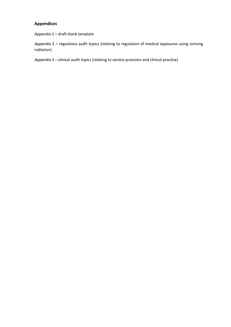# **Appendices**

Appendix 1 – draft blank template

Appendix 2 – regulatory audit topics (relating to regulation of medical exposures using ionising radiation)

Appendix 3 – clinical audit topics (relating to service provision and clinical practice)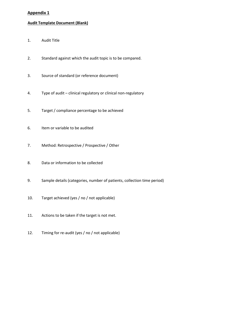# **Appendix 1**

## **Audit Template Document (Blank)**

- 1. Audit Title
- 2. Standard against which the audit topic is to be compared.
- 3. Source of standard (or reference document)
- 4. Type of audit clinical regulatory or clinical non-regulatory
- 5. Target / compliance percentage to be achieved
- 6. Item or variable to be audited
- 7. Method: Retrospective / Prospective / Other
- 8. Data or information to be collected
- 9. Sample details (categories, number of patients, collection time period)
- 10. Target achieved (yes / no / not applicable)
- 11. Actions to be taken if the target is not met.
- 12. Timing for re-audit (yes / no / not applicable)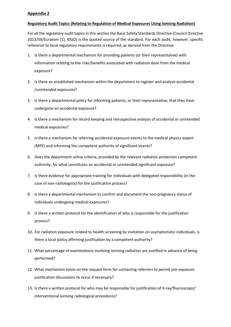## **Appendix 2**

#### **Regulatory Audit Topics (Relating to Regulation of Medical Exposures Using Ionising Radiation)**

For all the regulatory audit topics in this section the Basic Safety Standards Directive (Council Directive 2013/59/Euratom [1], BSSD) is the quoted source of the standard. For each audit, however, specific reference to local regulatory requirements is required, as derived from the Directive.

- 1. Is there a departmental mechanism for providing patients (or their representative) with information relating to the risks/benefits associated with radiation dose from the medical exposure?
- 2. Is there an established mechanism within the department to register and analyse accidental /unintended exposures?
- 3. Is there a departmental policy for informing patients, or their representative, that they have undergone an accidental exposure?
- 4. Is there a mechanism for record keeping and retrospective analysis of accidental or unintended medical exposures?
- 5. Is there a mechanism for referring accidental exposure events to the medical physics expert (MPE) and informing the competent authority of significant events?
- 6. Does the department utilise criteria, provided by the relevant radiation protection competent authority, for what constitutes an accidental or unintended significant exposure?
- 7. Is there evidence for appropriate training for individuals with delegated responsibility (in the case of non-radiologists) for the justification process?
- 8. Is there a departmental mechanism to confirm and document the non-pregnancy status of individuals undergoing medical exposures?
- 9. Is there a written protocol for the identification of who is responsible for the justification process?
- 10. For radiation exposure related to health screening by invitation on asymptomatic individuals, is there a local policy affirming justification by a competent authority?
- 11. What percentage of examinations involving ionising radiation are justified in advance of being performed?
- 12. What mechanism exists on the request form for contacting referrers to permit pre-exposure justification discussions to occur if necessary?
- 13. Is there a written protocol for who may be responsible for justification of X-ray/fluoroscopic/ interventional ionising radiological procedures?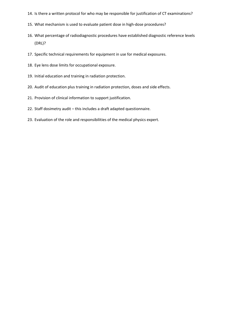- 14. Is there a written protocol for who may be responsible for justification of CT examinations?
- 15. What mechanism is used to evaluate patient dose in high-dose procedures?
- 16. What percentage of radiodiagnostic procedures have established diagnostic reference levels (DRL)?
- 17. Specific technical requirements for equipment in use for medical exposures.
- 18. Eye lens dose limits for occupational exposure.
- 19. Initial education and training in radiation protection.
- 20. Audit of education plus training in radiation protection, doses and side effects.
- 21. Provision of clinical information to support justification.
- 22. Staff dosimetry audit this includes a draft adapted questionnaire.
- 23. Evaluation of the role and responsibilities of the medical physics expert.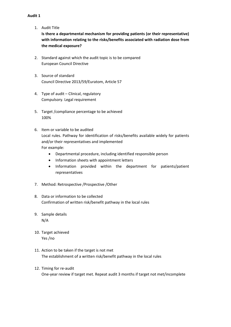1. Audit Title

**Is there a departmental mechanism for providing patients (or their representative) with information relating to the risks/benefits associated with radiation dose from the medical exposure?**

- 2. Standard against which the audit topic is to be compared European Council Directive
- 3. Source of standard Council Directive 2013/59/Euratom, Article 57
- 4. Type of audit Clinical, regulatory Compulsory. Legal requirement
- 5. Target /compliance percentage to be achieved 100%
- 6. Item or variable to be audited Local rules. Pathway for identification of risks/benefits available widely for patients and/or their representatives and implemented For example:
	- Departmental procedure, including identified responsible person
	- Information sheets with appointment letters
	- Information provided within the department for patients/patient representatives
- 7. Method: Retrospective /Prospective /Other
- 8. Data or information to be collected Confirmation of written risk/benefit pathway in the local rules
- 9. Sample details N/A
- 10. Target achieved Yes /no
- 11. Action to be taken if the target is not met The establishment of a written risk/benefit pathway in the local rules
- 12. Timing for re-audit

One-year review if target met. Repeat audit 3 months if target not met/incomplete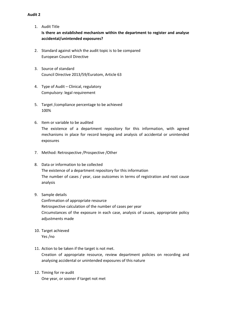- 1. Audit Title **Is there an established mechanism within the department to register and analyse accidental/unintended exposures?**
- 2. Standard against which the audit topic is to be compared European Council Directive
- 3. Source of standard Council Directive 2013/59/Euratom, Article 63
- 4. Type of Audit Clinical, regulatory Compulsory: legal requirement
- 5. Target /compliance percentage to be achieved 100%
- 6. Item or variable to be audited The existence of a department repository for this information, with agreed mechanisms in place for record keeping and analysis of accidental or unintended exposures
- 7. Method: Retrospective /Prospective /Other
- 8. Data or information to be collected The existence of a department repository for this information The number of cases / year, case outcomes in terms of registration and root cause analysis
- 9. Sample details

Confirmation of appropriate resource Retrospective calculation of the number of cases per year Circumstances of the exposure in each case, analysis of causes, appropriate policy adjustments made

- 10. Target achieved Yes /no
- 11. Action to be taken if the target is not met.

Creation of appropriate resource, review department policies on recording and analysing accidental or unintended exposures of this nature

12. Timing for re-audit One year, or sooner if target not met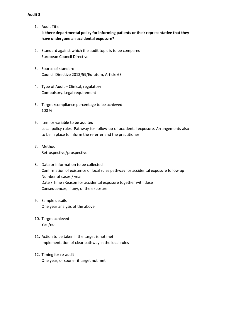- 1. Audit Title **Isthere departmental policy for informing patients or their representative that they have undergone an accidental exposure?**
- 2. Standard against which the audit topic is to be compared European Council Directive
- 3. Source of standard Council Directive 2013/59/Euratom, Article 63
- 4. Type of Audit Clinical, regulatory Compulsory. Legal requirement
- 5. Target /compliance percentage to be achieved 100 %
- 6. Item or variable to be audited Local policy rules. Pathway for follow up of accidental exposure. Arrangements also to be in place to inform the referrer and the practitioner
- 7. Method Retrospective/prospective
- 8. Data or information to be collected Confirmation of existence of local rules pathway for accidental exposure follow up Number of cases / year Date / Time /Reason for accidental exposure together with dose Consequences, if any, of the exposure
- 9. Sample details One year analysis of the above
- 10. Target achieved Yes /no
- 11. Action to be taken if the target is not met Implementation of clear pathway in the local rules
- 12. Timing for re-audit One year, or sooner if target not met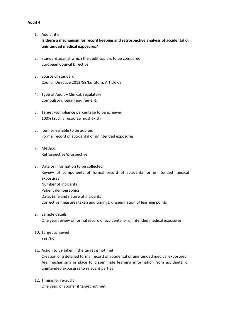1. Audit Title

**Is there a mechanism for record keeping and retrospective analysis of accidental or unintended medical exposures?**

- 2. Standard against which the audit topic is to be compared European Council Directive
- 3. Source of standard Council Directive 2013/59/Euratom, Article 63
- 4. Type of Audit Clinical, regulatory Compulsory. Legal requirement.
- 5. Target /compliance percentage to be achieved 100% (Such a resource must exist)
- 6. Item or variable to be audited Formal record of accidental or unintended exposures
- 7. Method Retrospective/prospective
- 8. Data or information to be collected Review of components of formal record of accidental or unintended medical exposures Number of incidents Patient demographics Date, time and nature of incidents Corrective measures taken and timings, dissemination of learning points
- 9. Sample details One year review of formal record of accidental or unintended medical exposures
- 10. Target achieved Yes /no
- 11. Action to be taken if the target is not met. Creation of a detailed formal record of accidental or unintended medical exposures Are mechanisms in place to disseminate learning information from accidental or unintended exposures to relevant parties
- 12. Timing for re-audit One year, or sooner if target not met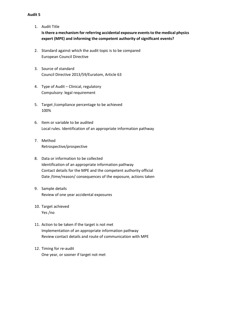- 1. Audit Title **Isthere a mechanism for referring accidental exposure eventsto the medical physics expert (MPE) and informing the competent authority of significant events?**
- 2. Standard against which the audit topic is to be compared European Council Directive
- 3. Source of standard Council Directive 2013/59/Euratom, Article 63
- 4. Type of Audit Clinical, regulatory Compulsory: legal requirement
- 5. Target /compliance percentage to be achieved 100%
- 6. Item or variable to be audited Local rules. Identification of an appropriate information pathway
- 7. Method Retrospective/prospective
- 8. Data or information to be collected Identification of an appropriate information pathway Contact details for the MPE and the competent authority official Date /time/reason/ consequences of the exposure, actions taken
- 9. Sample details Review of one year accidental exposures
- 10. Target achieved Yes /no
- 11. Action to be taken if the target is not met Implementation of an appropriate information pathway Review contact details and route of communication with MPE
- 12. Timing for re-audit One year, or sooner if target not met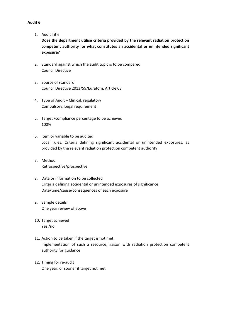1. Audit Title

**Does the department utilise criteria provided by the relevant radiation protection competent authority for what constitutes an accidental or unintended significant exposure?**

- 2. Standard against which the audit topic is to be compared Council Directive
- 3. Source of standard Council Directive 2013/59/Euratom, Article 63
- 4. Type of Audit Clinical, regulatory Compulsory. Legal requirement
- 5. Target /compliance percentage to be achieved 100%
- 6. Item or variable to be audited Local rules. Criteria defining significant accidental or unintended exposures, as provided by the relevant radiation protection competent authority
- 7. Method Retrospective/prospective
- 8. Data or information to be collected Criteria defining accidental or unintended exposures of significance Date/time/cause/consequences of each exposure
- 9. Sample details One year review of above
- 10. Target achieved Yes /no
- 11. Action to be taken if the target is not met. Implementation of such a resource, liaison with radiation protection competent authority for guidance
- 12. Timing for re-audit One year, or sooner if target not met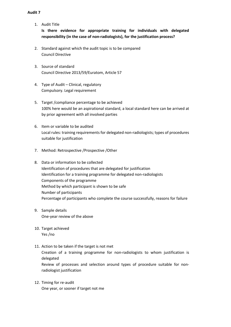1. Audit Title

**Is there evidence for appropriate training for individuals with delegated responsibility (in the case of non-radiologists), for the justification process?**

- 2. Standard against which the audit topic is to be compared Council Directive
- 3. Source of standard Council Directive 2013/59/Euratom, Article 57
- 4. Type of Audit Clinical, regulatory Compulsory. Legal requirement
- 5. Target /compliance percentage to be achieved 100% here would be an aspirational standard, a local standard here can be arrived at by prior agreement with all involved parties
- 6. Item or variable to be audited Local rules: training requirements for delegated non-radiologists; types of procedures suitable for justification
- 7. Method: Retrospective /Prospective /Other
- 8. Data or information to be collected Identification of procedures that are delegated for justification Identification for a training programme for delegated non-radiologists Components of the programme Method by which participant is shown to be safe Number of participants Percentage of participants who complete the course successfully, reasons for failure
- 9. Sample details One-year review of the above
- 10. Target achieved Yes /no
- 11. Action to be taken if the target is not met

Creation of a training programme for non-radiologists to whom justification is delegated

Review of processes and selection around types of procedure suitable for nonradiologist justification

12. Timing for re-audit One year, or sooner if target not me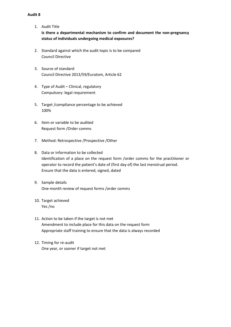1. Audit Title

**Is there a departmental mechanism to confirm and document the non-pregnancy status of individuals undergoing medical exposures?**

- 2. Standard against which the audit topic is to be compared Council Directive
- 3. Source of standard Council Directive 2013/59/Euratom, Article 62
- 4. Type of Audit Clinical, regulatory Compulsory: legal requirement
- 5. Target /compliance percentage to be achieved 100%
- 6. Item or variable to be audited Request form /Order comms
- 7. Method: Retrospective /Prospective /Other
- 8. Data or information to be collected Identification of a place on the request form /order comms for the practitioner or operator to record the patient's date of (first day of) the last menstrual period. Ensure that the data is entered, signed, dated
- 9. Sample details One-month review of request forms /order comms
- 10. Target achieved Yes /no
- 11. Action to be taken if the target is not met Amendment to include place for this data on the request form Appropriate staff training to ensure that the data is always recorded
- 12. Timing for re-audit One year, or sooner if target not met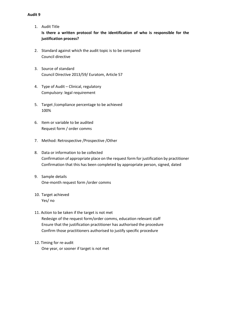- 1. Audit Title **Is there a written protocol for the identification of who is responsible for the justification process?**
- 2. Standard against which the audit topic is to be compared Council directive
- 3. Source of standard Council Directive 2013/59/ Euratom, Article 57
- 4. Type of Audit Clinical, regulatory Compulsory: legal requirement
- 5. Target /compliance percentage to be achieved 100%
- 6. Item or variable to be audited Request form / order comms
- 7. Method: Retrospective /Prospective /Other
- 8. Data or information to be collected Confirmation of appropriate place on the request form for justification by practitioner Confirmation that this has been completed by appropriate person, signed, dated
- 9. Sample details One-month request form /order comms
- 10. Target achieved Yes/ no
- 11. Action to be taken if the target is not met Redesign of the request form/order comms, education relevant staff Ensure that the justification practitioner has authorised the procedure Confirm those practitioners authorised to justify specific procedure
- 12. Timing for re-audit One year, or sooner if target is not met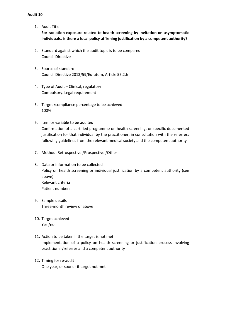- 1. Audit Title **For radiation exposure related to health screening by invitation on asymptomatic individuals, is there a local policy affirming justification by a competent authority?**
- 2. Standard against which the audit topic is to be compared Council Directive
- 3. Source of standard Council Directive 2013/59/Euratom, Article 55.2.h
- 4. Type of Audit Clinical, regulatory Compulsory. Legal requirement
- 5. Target /compliance percentage to be achieved 100%
- 6. Item or variable to be audited Confirmation of a certified programme on health screening, or specific documented justification for that individual by the practitioner, in consultation with the referrers following guidelines from the relevant medical society and the competent authority
- 7. Method: Retrospective /Prospective /Other
- 8. Data or information to be collected Policy on health screening or individual justification by a competent authority (see above) Relevant criteria Patient numbers
- 9. Sample details Three-month review of above
- 10. Target achieved Yes /no
- 11. Action to be taken if the target is not met Implementation of a policy on health screening or justification process involving practitioner/referrer and a competent authority
- 12. Timing for re-audit One year, or sooner if target not met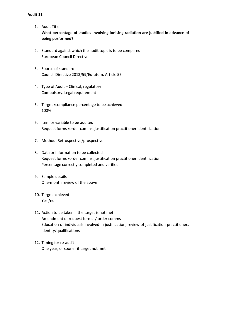- 1. Audit Title **What percentage of studies involving ionising radiation are justified in advance of being performed?**
- 2. Standard against which the audit topic is to be compared European Council Directive
- 3. Source of standard Council Directive 2013/59/Euratom, Article 55
- 4. Type of Audit Clinical, regulatory Compulsory. Legal requirement
- 5. Target /compliance percentage to be achieved 100%
- 6. Item or variable to be audited Request forms /order comms: justification practitioner identification
- 7. Method: Retrospective/prospective
- 8. Data or information to be collected Request forms /order comms: justification practitioner identification Percentage correctly completed and verified
- 9. Sample details One-month review of the above
- 10. Target achieved Yes /no
- 11. Action to be taken if the target is not met Amendment of request forms / order comms Education of individuals involved in justification, review of justification practitioners identity/qualifications
- 12. Timing for re-audit One year, or sooner if target not met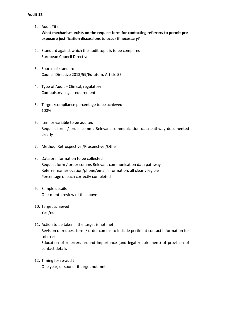- 1. Audit Title **What mechanism exists on the request form for contacting referrers to permit preexposure justification discussions to occur if necessary?**
- 2. Standard against which the audit topic is to be compared European Council Directive
- 3. Source of standard Council Directive 2013/59/Euratom, Article 55
- 4. Type of Audit Clinical, regulatory Compulsory: legal requirement
- 5. Target /compliance percentage to be achieved 100%
- 6. Item or variable to be audited Request form / order comms Relevant communication data pathway documented clearly
- 7. Method: Retrospective /Prospective /Other
- 8. Data or information to be collected Request form / order comms Relevant communication data pathway Referrer name/location/phone/email information, all clearly legible Percentage of each correctly completed
- 9. Sample details One-month review of the above
- 10. Target achieved Yes /no
- 11. Action to be taken if the target is not met. Revision of request form / order comms to include pertinent contact information for referrer Education of referrers around importance (and legal requirement) of provision of contact details
- 12. Timing for re-audit One year, or sooner if target not met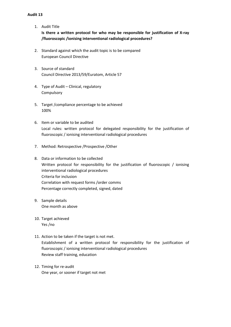1. Audit Title

**Is there a written protocol for who may be responsible for justification of X-ray /fluoroscopic /ionising interventional radiological procedures?**

- 2. Standard against which the audit topic is to be compared European Council Directive
- 3. Source of standard Council Directive 2013/59/Euratom, Article 57
- 4. Type of Audit Clinical, regulatory Compulsory
- 5. Target /compliance percentage to be achieved 100%
- 6. Item or variable to be audited Local rules: written protocol for delegated responsibility for the justification of fluoroscopic / ionising interventional radiological procedures
- 7. Method: Retrospective /Prospective /Other
- 8. Data or information to be collected Written protocol for responsibility for the justification of fluoroscopic / ionising interventional radiological procedures Criteria for inclusion Correlation with request forms /order comms Percentage correctly completed, signed, dated
- 9. Sample details One month as above
- 10. Target achieved Yes /no
- 11. Action to be taken if the target is not met. Establishment of a written protocol for responsibility for the justification of fluoroscopic / ionising interventional radiological procedures Review staff training, education
- 12. Timing for re-audit One year, or sooner if target not met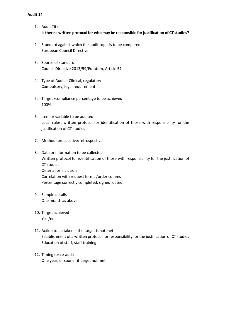- 1. Audit Title **Isthere a written protocol for who may be responsible forjustification of CT studies?**
- 2. Standard against which the audit topic is to be compared European Council Directive
- 3. Source of standard Council Directive 2013/59/Euratom, Article 57
- 4. Type of Audit Clinical, regulatory Compulsory, legal requirement
- 5. Target /compliance percentage to be achieved 100%
- 6. Item or variable to be audited Local rules: written protocol for identification of those with responsibility for the justification of CT studies
- 7. Method: prospective/retrospective
- 8. Data or information to be collected Written protocol for identification of those with responsibility for the justification of CT studies Criteria for inclusion Correlation with request forms /order comms Percentage correctly completed, signed, dated
- 9. Sample details One month as above
- 10. Target achieved Yes /no
- 11. Action to be taken if the target is not met Establishment of a written protocol for responsibility for the justification of CT studies Education of staff, staff training
- 12. Timing for re-audit One year, or sooner if target not met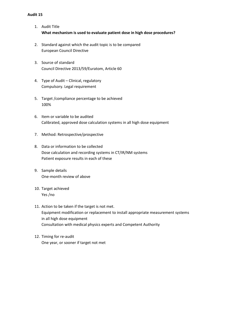- 1. Audit Title **What mechanism is used to evaluate patient dose in high dose procedures?**
- 2. Standard against which the audit topic is to be compared European Council Directive
- 3. Source of standard Council Directive 2013/59/Euratom, Article 60
- 4. Type of Audit Clinical, regulatory Compulsory. Legal requirement
- 5. Target /compliance percentage to be achieved 100%
- 6. Item or variable to be audited Calibrated, approved dose calculation systems in all high dose equipment
- 7. Method: Retrospective/prospective
- 8. Data or information to be collected Dose calculation and recording systems in CT/IR/NM systems Patient exposure results in each of these
- 9. Sample details One-month review of above
- 10. Target achieved Yes /no
- 11. Action to be taken if the target is not met. Equipment modification or replacement to install appropriate measurement systems in all high dose equipment Consultation with medical physics experts and Competent Authority
- 12. Timing for re-audit One year, or sooner if target not met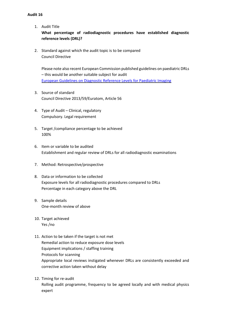1. Audit Title

**What percentage of radiodiagnostic procedures have established diagnostic reference levels (DRL)?**

2. Standard against which the audit topic is to be compared Council Directive

Please note also recent European Commission published guidelines on paediatric DRLs – this would be another suitable subject for audit European [Guidelines](http://www.eurosafeimaging.org/wp/wp-content/uploads/2018/09/rp_185.pdf) on Diagnostic Reference Levels for Paediatric Imaging

- 3. Source of standard Council Directive 2013/59/Euratom, Article 56
- 4. Type of Audit Clinical, regulatory Compulsory. Legal requirement
- 5. Target /compliance percentage to be achieved 100%
- 6. Item or variable to be audited Establishment and regular review of DRLs for all radiodiagnostic examinations
- 7. Method: Retrospective/prospective
- 8. Data or information to be collected Exposure levels for all radiodiagnostic procedures compared to DRLs Percentage in each category above the DRL
- 9. Sample details One-month review of above
- 10. Target achieved Yes /no
- 11. Action to be taken if the target is not met Remedial action to reduce exposure dose levels Equipment implications / staffing training Protocols for scanning Appropriate local reviews instigated whenever DRLs are consistently exceeded and corrective action taken without delay
- 12. Timing for re-audit

Rolling audit programme, frequency to be agreed locally and with medical physics expert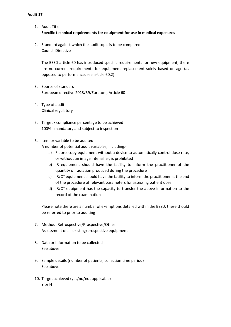- 1. Audit Title **Specific technical requirements for equipment for use in medical exposures**
- 2. Standard against which the audit topic is to be compared Council Directive

The BSSD article 60 has introduced specific requirements for new equipment, there are no current requirements for equipment replacement solely based on age (as opposed to performance, see article 60.2)

- 3. Source of standard European directive 2013/59/Euratom, Article 60
- 4. Type of audit Clinical regulatory
- 5. Target / compliance percentage to be achieved 100% - mandatory and subject to inspection
- 6. Item or variable to be audited

A number of potential audit variables, including:-

- a) Fluoroscopy equipment without a device to automatically control dose rate, or without an image intensifier, is prohibited
- b) IR equipment should have the facility to inform the practitioner of the quantity of radiation produced during the procedure
- c) IR/CT equipment should have the facility to inform the practitioner at the end of the procedure of relevant parameters for assessing patient dose
- d) IR/CT equipment has the capacity to transfer the above information to the record of the examination

Please note there are a number of exemptions detailed within the BSSD, these should be referred to prior to auditing

- 7. Method: Retrospective/Prospective/Other Assessment of all existing/prospective equipment
- 8. Data or information to be collected See above
- 9. Sample details (number of patients, collection time period) See above
- 10. Target achieved (yes/no/not applicable) Y or N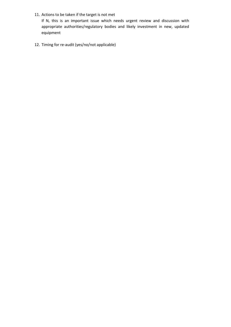11. Actions to be taken if the target is not met

If N, this is an important issue which needs urgent review and discussion with appropriate authorities/regulatory bodies and likely investment in new, updated equipment

12. Timing for re-audit (yes/no/not applicable)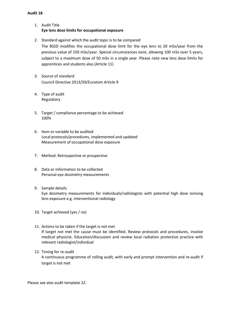- 1. Audit Title **Eye lens dose limits for occupational exposure**
- 2. Standard against which the audit topic is to be compared The BSSD modifies the occupational dose limit for the eye lens to 20 mSv/year from the previous value of 150 mSv/year. Special circumstances exist, allowing 100 mSv over 5 years, subject to a maximum dose of 50 mSv in a single year. Please note new lens dose limits for apprentices and students also (Article 11)
- 3. Source of standard Council Directive 2013/59/Euratom Article 9
- 4. Type of audit Regulatory
- 5. Target / compliance percentage to be achieved 100%
- 6. Item or variable to be audited Local protocols/procedures, implemented and updated Measurement of occupational dose exposure
- 7. Method: Retrospective or prospective
- 8. Data or information to be collected Personal eye dosimetry measurements
- 9. Sample details Eye dosimetry measurements for individuals/radiologists with potential high dose ionising lens exposure e.g. interventional radiology
- 10. Target achieved (yes / no)
- 11. Actions to be taken if the target is not met If target not met the cause must be identified. Review protocols and procedures, involve medical physicist. Education/discussion and review local radiation protective practice with relevant radiologist/individual
- 12. Timing for re-audit A continuous programme of rolling audit, with early and prompt intervention and re-audit if target is not met

Please see also audit template 22.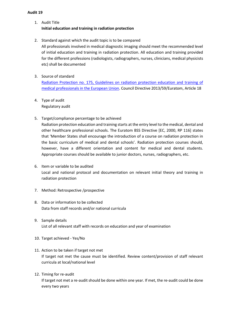- 1. Audit Title **Initial education and training in radiation protection**
- 2. Standard against which the audit topic is to be compared

All professionals involved in medical diagnostic imaging should meet the recommended level of initial education and training in radiation protection. All education and training provided for the different professions (radiologists, radiographers, nurses, clinicians, medical physicists etc) shall be documented

- 3. Source of standard Radiation Protection no. 175, Guidelines [on radiation protection education and training of](http://www.eurosafeimaging.org/wp/wp-content/uploads/2015/05/175.pdf)  [medical professionals in the European Union.](http://www.eurosafeimaging.org/wp/wp-content/uploads/2015/05/175.pdf) Council Directive 2013/59/Euratom, Article 18
- 4. Type of audit Regulatory audit
- 5. Target/compliance percentage to be achieved

Radiation protection education and training starts at the entry level to the medical, dental and other healthcare professional schools. The Euratom BSS Directive [EC, 2000, RP 116] states that 'Member States shall encourage the introduction of a course on radiation protection in the basic curriculum of medical and dental schools'. Radiation protection courses should, however, have a different orientation and content for medical and dental students. Appropriate courses should be available to junior doctors, nurses, radiographers, etc.

- 6. Item or variable to be audited Local and national protocol and documentation on relevant initial theory and training in radiation protection
- 7. Method: Retrospective /prospective
- 8. Data or information to be collected Data from staff records and/or national curricula
- 9. Sample details List of all relevant staff with records on education and year of examination
- 10. Target achieved Yes/No
- 11. Action to be taken if target not met If target not met the cause must be identified. Review content/provision of staff relevant curricula at local/national level
- 12. Timing for re-audit If target not met a re-audit should be done within one year. If met, the re-audit could be done every two years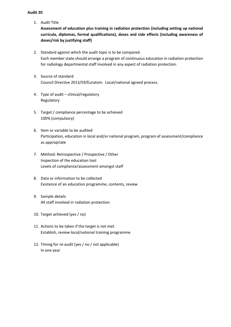1. Audit Title

**Assessment of education plus training in radiation protection (including setting up national curricula, diplomas, formal qualifications), doses and side effects (including awareness of doses/risk by justifying staff)**

- 2. Standard against which the audit topic is to be compared. Each member state should arrange a program of continuous education in radiation protection for radiology departmental staff involved in any aspect of radiation protection.
- 3. Source of standard Council Directive 2013/59/Euratom. Local/national agreed process.
- 4. Type of audit clinical/regulatory Regulatory
- 5. Target / compliance percentage to be achieved 100% (compulsory)
- 6. Item or variable to be audited Participation, education in local and/or national program, program of assessment/compliance as appropriate
- 7. Method: Retrospective / Prospective / Other Inspection of the education tool Levels of compliance/assessment amongst staff
- 8. Data or information to be collected Existence of an education programme, contents, review
- 9. Sample details All staff involved in radiation protection
- 10. Target achieved (yes / no)
- 11. Actions to be taken if the target is not met. Establish, review local/national training programme
- 12. Timing for re-audit (yes / no / not applicable) In one year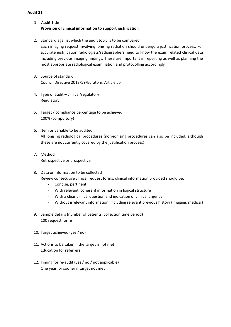- 1. Audit Title **Provision of clinical information to support justification**
- 2. Standard against which the audit topic is to be compared Each imaging request involving ionising radiation should undergo a justification process. For accurate justification radiologists/radiographers need to know the exam related clinical data including previous imaging findings. These are important in reporting as well as planning the most appropriate radiological examination and protocolling accordingly
- 3. Source of standard Council Directive 2013/59/Euratom, Article 55
- 4. Type of audit clinical/regulatory Regulatory
- 5. Target / compliance percentage to be achieved 100% (compulsory)
- 6. Item or variable to be audited All ionising radiological procedures (non-ionising procedures can also be included, although these are not currently covered by the justification process)
- 7. Method Retrospective or prospective
- 8. Data or information to be collected Review consecutive clinical request forms, clinical information provided should be:
	- Concise, pertinent
	- With relevant, coherent information in logical structure
	- With a clear clinical question and indication of clinical urgency
	- Without irrelevant information, including relevant previous history (imaging, medical)
- 9. Sample details (number of patients, collection time period) 100 request forms
- 10. Target achieved (yes / no)
- 11. Actions to be taken if the target is not met Education for referrers
- 12. Timing for re-audit (yes / no / not applicable) One year, or sooner if target not met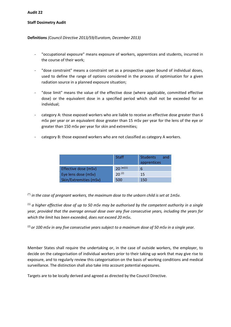#### **Staff Dosimetry Audit**

#### **Definitions** *(Council Directive 2013/59/Euratom, December 2013)*

- "occupational exposure" means exposure of workers, apprentices and students, incurred in the course of their work;
- "dose constraint" means a constraint set as a prospective upper bound of individual doses, used to define the range of options considered in the process of optimisation for a given radiation source in a planned exposure situation;
- "dose limit" means the value of the effective dose (where applicable, committed effective dose) or the equivalent dose in a specified period which shall not be exceeded for an individual;
- category A: those exposed workers who are liable to receive an effective dose greater than 6 mSv per year or an equivalent dose greater than 15 mSv per year for the lens of the eye or greater than 150 mSv per year for skin and extremities;
- category B: those exposed workers who are not classified as category A workers.

|                        | <b>Staff</b>  | <b>Students</b><br>and<br>apprentices |
|------------------------|---------------|---------------------------------------|
| Effective dose (mSv)   | $20^{(*)(1)}$ | 6                                     |
| Eye lens dose (mSv)    | $20^{(2)}$    | 15                                    |
| Skin/Extremities (mSv) | 500           | 150                                   |

(\*) *in the case of pregnant workers, the maximum dose to the unborn child is set at 1mSv.*

(1) *a higher effective dose of up to 50 mSv may be authorised by the competent authority in a single year, provided that the average annual dose over any five consecutive years, including the years for which the limit has been exceeded, does not exceed 20 mSv***.** 

(2) *or 100 mSv in any five consecutive years subject to a maximum dose of 50 mSv in a single year.*

Member States shall require the undertaking or, in the case of outside workers, the employer, to decide on the categorisation of individual workers prior to their taking up work that may give rise to exposure, and to regularly review this categorisation on the basis of working conditions and medical surveillance. The distinction shall also take into account potential exposures.

Targets are to be locally derived and agreed as directed by the Council Directive.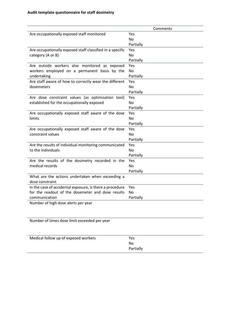|                                                                     | Comments  |
|---------------------------------------------------------------------|-----------|
| Are occupationally exposed staff monitored                          | Yes       |
|                                                                     | No.       |
|                                                                     | Partially |
| Are occupationally exposed staff classified in a specific           | Yes       |
| category (A or B)                                                   | No        |
|                                                                     | Partially |
| Are outside workers also monitored as exposed                       | Yes       |
| workers employed on a permanent basis by the                        | No        |
| undertaking                                                         | Partially |
| Are staff aware of how to correctly wear the different              | Yes       |
| dosemeters                                                          | No        |
|                                                                     | Partially |
| Are dose constraint values (as optimisation tool)                   | Yes       |
| established for the occupationally exposed                          | No        |
|                                                                     | Partially |
| Are occupationally exposed staff aware of the dose                  | Yes       |
| limits                                                              | <b>No</b> |
|                                                                     | Partially |
| Are occupationally exposed staff aware of the dose                  | Yes       |
| constraint values                                                   | No.       |
|                                                                     | Partially |
| Are the results of individual monitoring communicated               | Yes       |
| to the individuals                                                  | <b>No</b> |
|                                                                     | Partially |
| Are the results of the dosimetry recorded in the                    | Yes       |
| medical records                                                     | <b>No</b> |
|                                                                     | Partially |
| What are the actions undertaken when exceeding a<br>dose constraint |           |
| In the case of accidental exposure, is there a procedure            | Yes       |
| for the readout of the dosemeter and dose results                   | No        |
| communication                                                       | Partially |
| Number of high dose alerts per year                                 |           |
|                                                                     |           |
|                                                                     |           |
| Number of times dose limit exceeded per year                        |           |

| Medical follow up of exposed workers | Yes       |
|--------------------------------------|-----------|
|                                      | No        |
|                                      | Partially |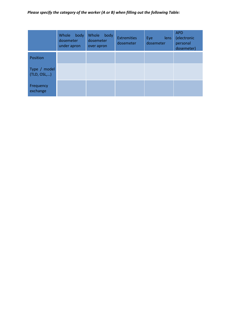# *Please specify the category of the worker (A or B) when filling out the following Table:*

|                             | Whole<br>body<br>dosemeter<br>under apron | Whole<br>body<br>dosemeter<br>over apron | <b>Extremities</b><br>dosemeter | Eye<br>lens<br>dosemeter | <b>APD</b><br>(electronic<br>personal<br>dosemeter) |
|-----------------------------|-------------------------------------------|------------------------------------------|---------------------------------|--------------------------|-----------------------------------------------------|
| Position                    |                                           |                                          |                                 |                          |                                                     |
| Type / model<br>(TLD, OSL,) |                                           |                                          |                                 |                          |                                                     |
| Frequency<br>exchange       |                                           |                                          |                                 |                          |                                                     |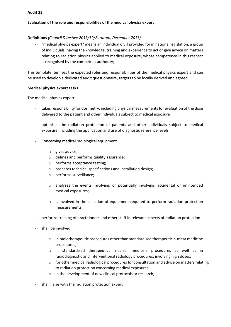#### **Evaluation of the role and responsibilities of the medical physics expert**

#### **Definitions** *(Council Directive 2013/59/Euratom, December 2013)*

"medical physics expert" means an individual or, if provided for in national legislation, a group of individuals, having the knowledge, training and experience to act or give advice on matters relating to radiation physics applied to medical exposure, whose competence in this respect is recognised by the competent authority;

This template itemises the expected roles and responsibilities of the medical physics expert and can be used to develop a dedicated audit questionnaire, targets to be locally derived and agreed.

#### **Medical physics expert tasks**

The medical physics expert:

- takes responsibility for dosimetry, including physical measurements for evaluation of the dose delivered to the patient and other individuals subject to medical exposure
- optimises the radiation protection of patients and other individuals subject to medical exposure, including the application and use of diagnostic reference levels;
- Concerning medical radiological equipment
	- o gives advice;
	- o defines and performs quality assurance;
	- o performs acceptance testing;
	- o prepares technical specifications and installation design;
	- o performs surveillance;
	- o analyses the events involving, or potentially involving, accidental or unintended medical exposures;
	- $\circ$  is involved in the selection of equipment required to perform radiation protection measurements;
- performs training of practitioners and other staff in relevant aspects of radiation protection
- shall be involved:
	- $\circ$  in radiotherapeutic procedures other than standardised therapeutic nuclear medicine procedures;
	- o in standardised therapeutical nuclear medicine procedures as well as in radiodiagnostic and interventional radiology procedures, involving high doses;
	- $\circ$  for other medical radiological procedures for consultation and advice on matters relating to radiation protection concerning medical exposure;
	- o in the development of new clinical protocols or research;
- shall liaise with the radiation protection expert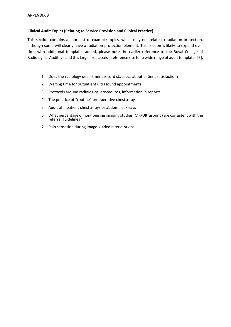#### **Clinical Audit Topics (Relating to Service Provision and Clinical Practice)**

This section contains a short list of example topics, which may not relate to radiation protection, although some will clearly have a radiation protection element. This section is likely to expand over time with additional templates added, please note the earlier reference to the Royal College of Radiologists Auditlive and this large, free access, reference site for a wide range of audit templates [5].

- 1. Does the radiology department record statistics about patient satisfaction?
- 2. Waiting time for outpatient ultrasound appointments
- 3. Protocols around radiological procedures, information in reports
- 4. The practice of "routine" preoperative chest x-ray
- 5. Audit of inpatient chest x-rays or abdominal x-rays
- 6. What percentage of non-Ionising imaging studies(MR/Ultrasound) are consistent with the referral guidelines?
- 7. Pain sensation during image-guided interventions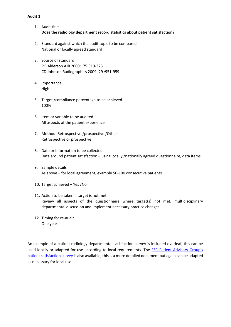- 1. Audit title **Does the radiology department record statistics about patient satisfaction?**
- 2. Standard against which the audit topic to be compared National or locally agreed standard
- 3. Source of standard PO Alderson AJR 2000;175:319-323 CD Johnson Radiographics 2009 ;29 :951-959
- 4. Importance High
- 5. Target /compliance percentage to be achieved 100%
- 6. Item or variable to be audited All aspects of the patient experience
- 7. Method: Retrospective /prospective /Other Retrospective or prospective
- 8. Data or information to be collected Data around patient satisfaction – using locally /nationally agreed questionnaire, data items
- 9. Sample details As above – for local agreement, example 50-100 consecutive patients
- 10. Target achieved Yes /No
- 11. Action to be taken if target is not met Review all aspects of the questionnaire where target(s) not met, multidisciplinary departmental discussion and implement necessary practice changes
- 12. Timing for re-audit One year

An example of a patient radiology departmental satisfaction survey is included overleaf, this can be used locally or adapted for use according to local requirements. The **ESR Patient Advisory Group's** [patient satisfaction survey](https://www.myesr.org/media/3780) is also available, this is a more detailed document but again can be adapted as necessary for local use.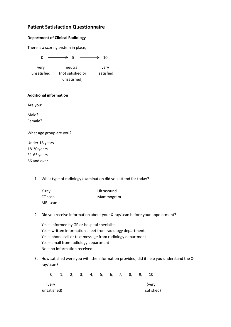# **Patient Satisfaction Questionnaire**

## **Department of Clinical Radiology**

There is a scoring system in place,

 $0 \longrightarrow 5 \longrightarrow 10$  very neutral very unsatisfied (not satisfied or satisfied unsatisfied)

#### **Additional information**

Are you:

Male? Female?

What age group are you?

Under 18 years 18-30 years 31-65 years 66 and over

1. What type of radiology examination did you attend for today?

| X-ray    | Ultrasound |
|----------|------------|
| CT scan  | Mammogram  |
| MRI scan |            |

- 2. Did you receive information about your X-ray/scan before your appointment?
	- Yes informed by GP or hospital specialist Yes – written information sheet from radiology department Yes – phone call or text message from radiology department Yes – email from radiology department No – no information received
- 3. How satisfied were you with the information provided, did it help you understand the Xray/scan?

 0, 1, 2, 3, 4, 5, 6, 7, 8, 9, 10 (very (very unsatisfied) and the satisfied of the satisfied satisfied satisfied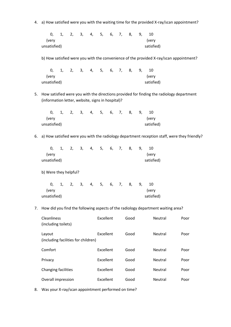4. a) How satisfied were you with the waiting time for the provided X-ray/scan appointment?

 0, 1, 2, 3, 4, 5, 6, 7, 8, 9, 10 (very (very unsatisfied) and the satisfied satisfied satisfied

b) How satisfied were you with the convenience of the provided X-ray/scan appointment?

|              |  |  |  |  | 0, 1, 2, 3, 4, 5, 6, 7, 8, 9, 10 |
|--------------|--|--|--|--|----------------------------------|
| lverv)       |  |  |  |  | (verv                            |
| unsatisfied) |  |  |  |  | satisfied)                       |

5. How satisfied were you with the directions provided for finding the radiology department (information letter, website, signs in hospital)?

|              |  |  | 0, 1, 2, 3, 4, 5, 6, 7, 8, 9, |  |  |            |
|--------------|--|--|-------------------------------|--|--|------------|
| (verv        |  |  |                               |  |  | (verv      |
| unsatisfied) |  |  |                               |  |  | satisfied) |

6. a) How satisfied were you with the radiology department reception staff, were they friendly?

|              |  |  | 0, 1, 2, 3, 4, 5, 6, 7, 8, 9, |  |  | -10        |  |
|--------------|--|--|-------------------------------|--|--|------------|--|
| (verv        |  |  |                               |  |  | (very      |  |
| unsatisfied) |  |  |                               |  |  | satisfied) |  |

b) Were they helpful?

|              |  |  | 0, 1, 2, 3, 4, 5, 6, 7, 8, 9, 10 |  |  |            |  |
|--------------|--|--|----------------------------------|--|--|------------|--|
| (verv        |  |  |                                  |  |  | (verv      |  |
| unsatisfied) |  |  |                                  |  |  | satisfied) |  |

7. How did you find the following aspects of the radiology department waiting area?

| Cleanliness<br>(including toilets)            | Excellent | Good | <b>Neutral</b> | Poor |
|-----------------------------------------------|-----------|------|----------------|------|
| Layout<br>(including facilities for children) | Excellent | Good | <b>Neutral</b> | Poor |
| Comfort                                       | Excellent | Good | <b>Neutral</b> | Poor |
| Privacy                                       | Excellent | Good | <b>Neutral</b> | Poor |
| Changing facilities                           | Excellent | Good | <b>Neutral</b> | Poor |
| Overall impression                            | Excellent | Good | <b>Neutral</b> | Poor |

8. Was your X-ray/scan appointment performed on time?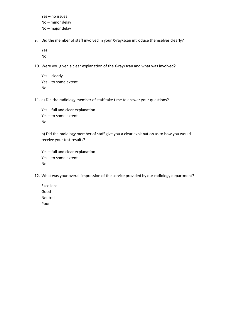Yes – no issues No – minor delay No – major delay

9. Did the member of staff involved in your X-ray/scan introduce themselves clearly?

Yes No

10. Were you given a clear explanation of the X-ray/scan and what was involved?

```
Yes – clearly
Yes – to some extent
No
```
11. a) Did the radiology member of staff take time to answer your questions?

Yes – full and clear explanation Yes – to some extent No

b) Did the radiology member of staff give you a clear explanation as to how you would receive your test results?

Yes – full and clear explanation Yes – to some extent No

- 12. What was your overall impression of the service provided by our radiology department?
	- Excellent Good Neutral Poor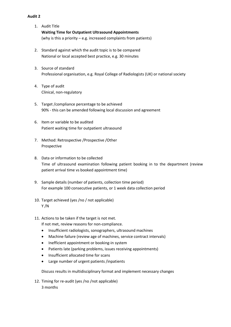- 1. Audit Title **Waiting Time for Outpatient Ultrasound Appointments** (why is this a priority – e.g. increased complaints from patients)
- 2. Standard against which the audit topic is to be compared National or local accepted best practice, e.g. 30 minutes
- 3. Source of standard Professional organisation, e.g. Royal College of Radiologists (UK) or national society
- 4. Type of audit Clinical, non-regulatory
- 5. Target /compliance percentage to be achieved 90% - this can be amended following local discussion and agreement
- 6. Item or variable to be audited Patient waiting time for outpatient ultrasound
- 7. Method: Retrospective /Prospective /Other Prospective
- 8. Data or information to be collected Time of ultrasound examination following patient booking in to the department (review patient arrival time vs booked appointment time)
- 9. Sample details (number of patients, collection time period) For example 100 consecutive patients, or 1 week data collection period
- 10. Target achieved (yes /no / not applicable) Y /N
- 11. Actions to be taken if the target is not met.

If not met, review reasons for non-compliance.

- Insufficient radiologists, sonographers, ultrasound machines
- Machine failure (review age of machines, service contract intervals)
- Inefficient appointment or booking-in system
- Patients late (parking problems, issues receiving appointments)
- Insufficient allocated time for scans
- Large number of urgent patients /inpatients

Discuss results in multidisciplinary format and implement necessary changes

12. Timing for re-audit (yes /no /not applicable) 3 months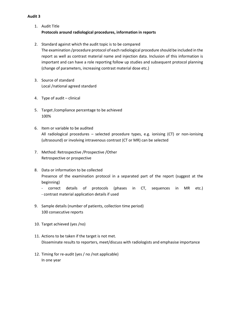- 1. Audit Title **Protocols around radiological procedures, information in reports**
- 2. Standard against which the audit topic is to be compared The examination /procedure protocol of each radiological procedure should be included in the report as well as contrast material name and injection data. Inclusion of this information is important and can have a role reporting follow up studies and subsequent protocol planning (change of parameters, increasing contrast material dose etc.)
- 3. Source of standard Local /national agreed standard
- 4. Type of audit clinical
- 5. Target /compliance percentage to be achieved 100%
- 6. Item or variable to be audited All radiological procedures – selected procedure types, e.g. ionising (CT) or non-ionising (ultrasound) or involving intravenous contrast (CT or MR) can be selected
- 7. Method: Retrospective /Prospective /Other Retrospective or prospective
- 8. Data or information to be collected Presence of the examination protocol in a separated part of the report (suggest at the beginning)
	- correct details of protocols (phases in CT, sequences in MR etc.) - contrast material application details if used
- 9. Sample details (number of patients, collection time period) 100 consecutive reports
- 10. Target achieved (yes /no)
- 11. Actions to be taken if the target is not met. Disseminate results to reporters, meet/discuss with radiologists and emphasise importance
- 12. Timing for re-audit (yes / no /not applicable) In one year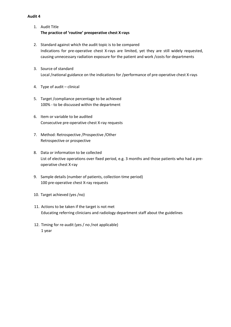- 1. Audit Title **The practice of 'routine' preoperative chest X-rays**
- 2. Standard against which the audit topic is to be compared Indications for pre-operative chest X-rays are limited, yet they are still widely requested, causing unnecessary radiation exposure for the patient and work /costs for departments
- 3. Source of standard Local /national guidance on the indications for /performance of pre-operative chest X-rays
- 4. Type of audit clinical
- 5. Target /compliance percentage to be achieved 100% - to be discussed within the department
- 6. Item or variable to be audited Consecutive pre-operative chest X-ray requests
- 7. Method: Retrospective /Prospective /Other Retrospective or prospective
- 8. Data or information to be collected List of elective operations over fixed period, e.g. 3 months and those patients who had a preoperative chest X-ray
- 9. Sample details (number of patients, collection time period) 100 pre-operative chest X-ray requests
- 10. Target achieved (yes /no)
- 11. Actions to be taken if the target is not met Educating referring clinicians and radiology department staff about the guidelines
- 12. Timing for re-audit (yes / no /not applicable) 1 year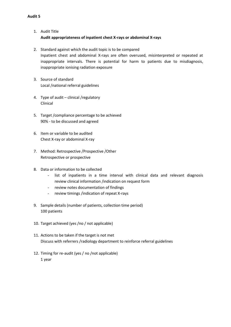- 1. Audit Title **Audit appropriateness of inpatient chest X-rays or abdominal X-rays**
- 2. Standard against which the audit topic is to be compared Inpatient chest and abdominal X-rays are often overused, misinterpreted or repeated at inappropriate intervals. There is potential for harm to patients due to misdiagnosis, inappropriate ionising radiation exposure
- 3. Source of standard Local /national referral guidelines
- 4. Type of audit clinical /regulatory Clinical
- 5. Target /compliance percentage to be achieved 90% - to be discussed and agreed
- 6. Item or variable to be audited Chest X-ray or abdominal X-ray
- 7. Method: Retrospective /Prospective /Other Retrospective or prospective
- 8. Data or information to be collected
	- list of inpatients in a time interval with clinical data and relevant diagnosis review clinical information /indication on request form
	- review notes documentation of findings
	- review timings /indication of repeat X-rays
- 9. Sample details (number of patients, collection time period) 100 patients
- 10. Target achieved (yes /no / not applicable)
- 11. Actions to be taken if the target is not met Discuss with referrers /radiology department to reinforce referral guidelines
- 12. Timing for re-audit (yes / no /not applicable) 1 year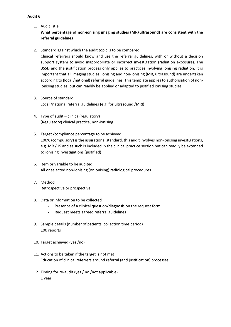1. Audit Title

# **What percentage of non-ionising imaging studies (MR/ultrasound) are consistent with the referral guidelines**

2. Standard against which the audit topic is to be compared

Clinical referrers should know and use the referral guidelines, with or without a decision support system to avoid inappropriate or incorrect investigation (radiation exposure). The BSSD and the justification process only applies to practices involving ionising radiation. It is important that all imaging studies, ionising and non-ionising (MR, ultrasound) are undertaken according to (local/national) referral guidelines. This template applies to authorisation of nonionising studies, but can readily be applied or adapted to justified ionising studies

- 3. Source of standard Local /national referral guidelines (e.g. for ultrasound /MRI)
- 4. Type of audit clinical(regulatory) (Regulatory) clinical practice, non-ionising
- 5. Target /compliance percentage to be achieved 100% (compulsory) is the aspirational standard, this audit involves non-ionising investigations, e.g. MR /US and as such is included in the clinical practice section but can readily be extended to ionising investigations (justified)
- 6. Item or variable to be audited All or selected non-ionising (or ionising) radiological procedures
- 7. Method Retrospective or prospective
- 8. Data or information to be collected
	- Presence of a clinical question/diagnosis on the request form
	- Request meets agreed referral guidelines
- 9. Sample details (number of patients, collection time period) 100 reports
- 10. Target achieved (yes /no)
- 11. Actions to be taken if the target is not met Education of clinical referrers around referral (and justification) processes
- 12. Timing for re-audit (yes / no /not applicable) 1 year